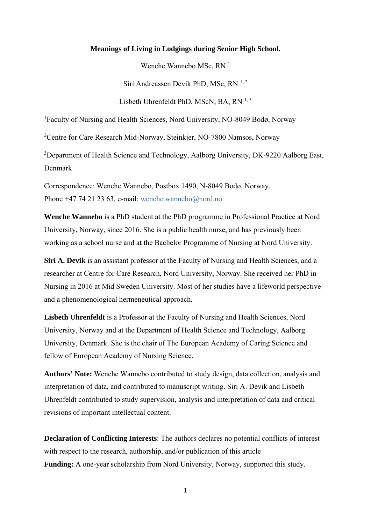## **Meanings of Living in Lodgings during Senior High School.**

Wenche Wannebo MSc, RN<sup>1</sup>

Siri Andreassen Devik PhD, MSc,  $RN^{1,2}$ 

Lisbeth Uhrenfeldt PhD, MScN, BA, RN 1, 3

<sup>1</sup>Faculty of Nursing and Health Sciences, Nord University, NO-8049 Bodø, Norway

<sup>2</sup>Centre for Care Research Mid-Norway, Steinkjer, NO-7800 Namsos, Norway

<sup>3</sup>Department of Health Science and Technology, Aalborg University, DK-9220 Aalborg East, Denmark

Correspondence: Wenche Wannebo, Postbox 1490, N-8049 Bodø, Norway. Phone +47 74 21 23 63, e-mail: wenche.wannebo@nord.no

**Wenche Wannebo** is a PhD student at the PhD programme in Professional Practice at Nord University, Norway, since 2016. She is a public health nurse, and has previously been working as a school nurse and at the Bachelor Programme of Nursing at Nord University.

**Siri A. Devik** is an assistant professor at the Faculty of Nursing and Health Sciences, and a researcher at Centre for Care Research, Nord University, Norway. She received her PhD in Nursing in 2016 at Mid Sweden University. Most of her studies have a lifeworld perspective and a phenomenological hermeneutical approach.

**Lisbeth Uhrenfeldt** is a Professor at the Faculty of Nursing and Health Sciences, Nord University, Norway and at the Department of Health Science and Technology, Aalborg University, Denmark. She is the chair of The European Academy of Caring Science and fellow of European Academy of Nursing Science.

**Authors' Note:** Wenche Wannebo contributed to study design, data collection, analysis and interpretation of data, and contributed to manuscript writing. Siri A. Devik and Lisbeth Uhrenfeldt contributed to study supervision, analysis and interpretation of data and critical revisions of important intellectual content.

**Declaration of Conflicting Interests**: The authors declares no potential conflicts of interest with respect to the research, authorship, and/or publication of this article **Funding:** A one-year scholarship from Nord University, Norway, supported this study.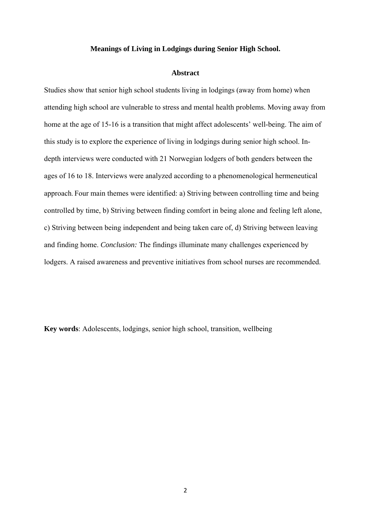## **Meanings of Living in Lodgings during Senior High School.**

#### **Abstract**

Studies show that senior high school students living in lodgings (away from home) when attending high school are vulnerable to stress and mental health problems. Moving away from home at the age of 15-16 is a transition that might affect adolescents' well-being. The aim of this study is to explore the experience of living in lodgings during senior high school. Indepth interviews were conducted with 21 Norwegian lodgers of both genders between the ages of 16 to 18. Interviews were analyzed according to a phenomenological hermeneutical approach. Four main themes were identified: a) Striving between controlling time and being controlled by time, b) Striving between finding comfort in being alone and feeling left alone, c) Striving between being independent and being taken care of, d) Striving between leaving and finding home. *Conclusion:* The findings illuminate many challenges experienced by lodgers. A raised awareness and preventive initiatives from school nurses are recommended.

**Key words**: Adolescents, lodgings, senior high school, transition, wellbeing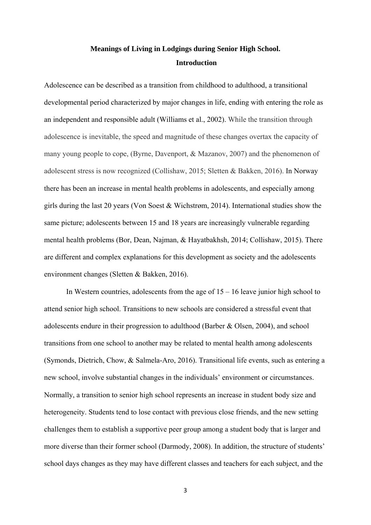## **Meanings of Living in Lodgings during Senior High School. Introduction**

Adolescence can be described as a transition from childhood to adulthood, a transitional developmental period characterized by major changes in life, ending with entering the role as an independent and responsible adult (Williams et al., 2002). While the transition through adolescence is inevitable, the speed and magnitude of these changes overtax the capacity of many young people to cope, (Byrne, Davenport, & Mazanov, 2007) and the phenomenon of adolescent stress is now recognized (Collishaw, 2015; Sletten & Bakken, 2016). In Norway there has been an increase in mental health problems in adolescents, and especially among girls during the last 20 years (Von Soest & Wichstrøm, 2014). International studies show the same picture; adolescents between 15 and 18 years are increasingly vulnerable regarding mental health problems (Bor, Dean, Najman, & Hayatbakhsh, 2014; Collishaw, 2015). There are different and complex explanations for this development as society and the adolescents environment changes (Sletten & Bakken, 2016).

In Western countries, adolescents from the age of  $15 - 16$  leave junior high school to attend senior high school. Transitions to new schools are considered a stressful event that adolescents endure in their progression to adulthood (Barber & Olsen, 2004), and school transitions from one school to another may be related to mental health among adolescents (Symonds, Dietrich, Chow, & Salmela-Aro, 2016). Transitional life events, such as entering a new school, involve substantial changes in the individuals' environment or circumstances. Normally, a transition to senior high school represents an increase in student body size and heterogeneity. Students tend to lose contact with previous close friends, and the new setting challenges them to establish a supportive peer group among a student body that is larger and more diverse than their former school (Darmody, 2008). In addition, the structure of students' school days changes as they may have different classes and teachers for each subject, and the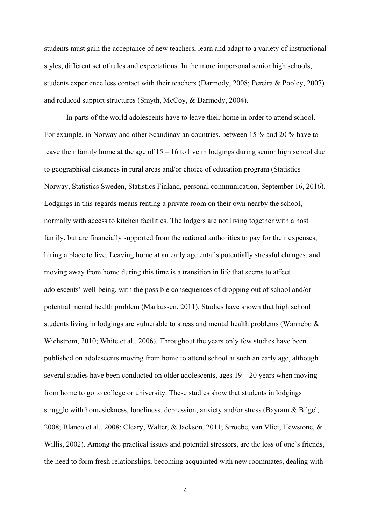students must gain the acceptance of new teachers, learn and adapt to a variety of instructional styles, different set of rules and expectations. In the more impersonal senior high schools, students experience less contact with their teachers (Darmody, 2008; Pereira & Pooley, 2007) and reduced support structures (Smyth, McCoy, & Darmody, 2004).

In parts of the world adolescents have to leave their home in order to attend school. For example, in Norway and other Scandinavian countries, between 15 % and 20 % have to leave their family home at the age of 15 – 16 to live in lodgings during senior high school due to geographical distances in rural areas and/or choice of education program (Statistics Norway, Statistics Sweden, Statistics Finland, personal communication, September 16, 2016). Lodgings in this regards means renting a private room on their own nearby the school, normally with access to kitchen facilities. The lodgers are not living together with a host family, but are financially supported from the national authorities to pay for their expenses, hiring a place to live. Leaving home at an early age entails potentially stressful changes, and moving away from home during this time is a transition in life that seems to affect adolescents' well-being, with the possible consequences of dropping out of school and/or potential mental health problem (Markussen, 2011). Studies have shown that high school students living in lodgings are vulnerable to stress and mental health problems (Wannebo & Wichstrøm, 2010; White et al., 2006). Throughout the years only few studies have been published on adolescents moving from home to attend school at such an early age, although several studies have been conducted on older adolescents, ages  $19 - 20$  years when moving from home to go to college or university. These studies show that students in lodgings struggle with homesickness, loneliness, depression, anxiety and/or stress (Bayram & Bilgel, 2008; Blanco et al., 2008; Cleary, Walter, & Jackson, 2011; Stroebe, van Vliet, Hewstone, & Willis, 2002). Among the practical issues and potential stressors, are the loss of one's friends, the need to form fresh relationships, becoming acquainted with new roommates, dealing with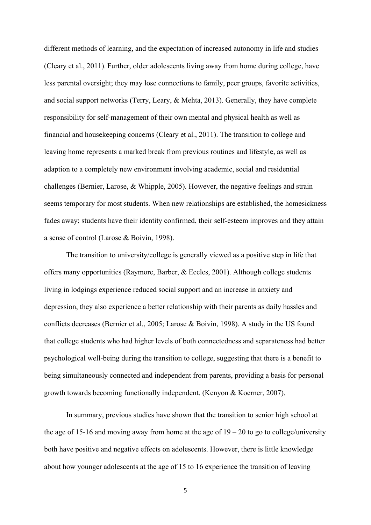different methods of learning, and the expectation of increased autonomy in life and studies (Cleary et al., 2011). Further, older adolescents living away from home during college, have less parental oversight; they may lose connections to family, peer groups, favorite activities, and social support networks (Terry, Leary, & Mehta, 2013). Generally, they have complete responsibility for self-management of their own mental and physical health as well as financial and housekeeping concerns (Cleary et al., 2011). The transition to college and leaving home represents a marked break from previous routines and lifestyle, as well as adaption to a completely new environment involving academic, social and residential challenges (Bernier, Larose, & Whipple, 2005). However, the negative feelings and strain seems temporary for most students. When new relationships are established, the homesickness fades away; students have their identity confirmed, their self-esteem improves and they attain a sense of control (Larose & Boivin, 1998).

The transition to university/college is generally viewed as a positive step in life that offers many opportunities (Raymore, Barber, & Eccles, 2001). Although college students living in lodgings experience reduced social support and an increase in anxiety and depression, they also experience a better relationship with their parents as daily hassles and conflicts decreases (Bernier et al., 2005; Larose & Boivin, 1998). A study in the US found that college students who had higher levels of both connectedness and separateness had better psychological well-being during the transition to college, suggesting that there is a benefit to being simultaneously connected and independent from parents, providing a basis for personal growth towards becoming functionally independent. (Kenyon & Koerner, 2007).

In summary, previous studies have shown that the transition to senior high school at the age of 15-16 and moving away from home at the age of  $19 - 20$  to go to college/university both have positive and negative effects on adolescents. However, there is little knowledge about how younger adolescents at the age of 15 to 16 experience the transition of leaving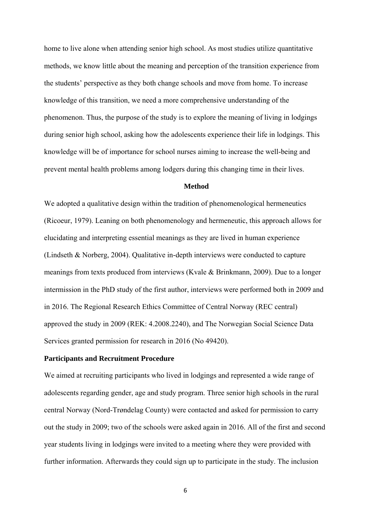home to live alone when attending senior high school. As most studies utilize quantitative methods, we know little about the meaning and perception of the transition experience from the students' perspective as they both change schools and move from home. To increase knowledge of this transition, we need a more comprehensive understanding of the phenomenon. Thus, the purpose of the study is to explore the meaning of living in lodgings during senior high school, asking how the adolescents experience their life in lodgings. This knowledge will be of importance for school nurses aiming to increase the well-being and prevent mental health problems among lodgers during this changing time in their lives.

#### **Method**

We adopted a qualitative design within the tradition of phenomenological hermeneutics (Ricoeur, 1979). Leaning on both phenomenology and hermeneutic, this approach allows for elucidating and interpreting essential meanings as they are lived in human experience (Lindseth & Norberg, 2004). Qualitative in-depth interviews were conducted to capture meanings from texts produced from interviews (Kvale & Brinkmann, 2009). Due to a longer intermission in the PhD study of the first author, interviews were performed both in 2009 and in 2016. The Regional Research Ethics Committee of Central Norway (REC central) approved the study in 2009 (REK: 4.2008.2240), and The Norwegian Social Science Data Services granted permission for research in 2016 (No 49420).

## **Participants and Recruitment Procedure**

We aimed at recruiting participants who lived in lodgings and represented a wide range of adolescents regarding gender, age and study program. Three senior high schools in the rural central Norway (Nord-Trøndelag County) were contacted and asked for permission to carry out the study in 2009; two of the schools were asked again in 2016. All of the first and second year students living in lodgings were invited to a meeting where they were provided with further information. Afterwards they could sign up to participate in the study. The inclusion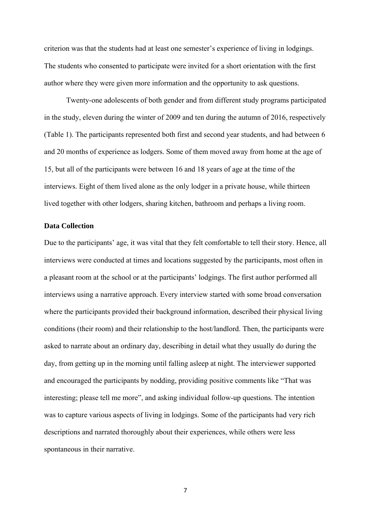criterion was that the students had at least one semester's experience of living in lodgings. The students who consented to participate were invited for a short orientation with the first author where they were given more information and the opportunity to ask questions.

Twenty-one adolescents of both gender and from different study programs participated in the study, eleven during the winter of 2009 and ten during the autumn of 2016, respectively (Table 1). The participants represented both first and second year students, and had between 6 and 20 months of experience as lodgers. Some of them moved away from home at the age of 15, but all of the participants were between 16 and 18 years of age at the time of the interviews. Eight of them lived alone as the only lodger in a private house, while thirteen lived together with other lodgers, sharing kitchen, bathroom and perhaps a living room.

#### **Data Collection**

Due to the participants' age, it was vital that they felt comfortable to tell their story. Hence, all interviews were conducted at times and locations suggested by the participants, most often in a pleasant room at the school or at the participants' lodgings. The first author performed all interviews using a narrative approach. Every interview started with some broad conversation where the participants provided their background information, described their physical living conditions (their room) and their relationship to the host/landlord. Then, the participants were asked to narrate about an ordinary day, describing in detail what they usually do during the day, from getting up in the morning until falling asleep at night. The interviewer supported and encouraged the participants by nodding, providing positive comments like "That was interesting; please tell me more", and asking individual follow-up questions. The intention was to capture various aspects of living in lodgings. Some of the participants had very rich descriptions and narrated thoroughly about their experiences, while others were less spontaneous in their narrative.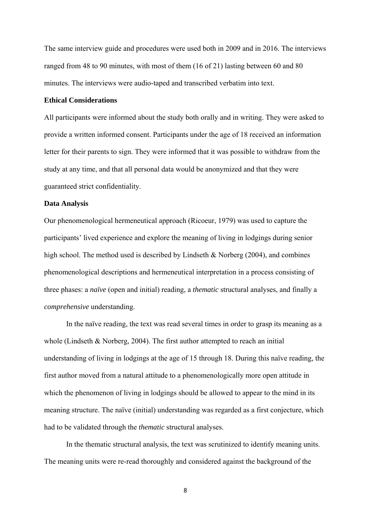The same interview guide and procedures were used both in 2009 and in 2016. The interviews ranged from 48 to 90 minutes, with most of them (16 of 21) lasting between 60 and 80 minutes. The interviews were audio-taped and transcribed verbatim into text.

## **Ethical Considerations**

All participants were informed about the study both orally and in writing. They were asked to provide a written informed consent. Participants under the age of 18 received an information letter for their parents to sign. They were informed that it was possible to withdraw from the study at any time, and that all personal data would be anonymized and that they were guaranteed strict confidentiality.

## **Data Analysis**

Our phenomenological hermeneutical approach (Ricoeur, 1979) was used to capture the participants' lived experience and explore the meaning of living in lodgings during senior high school. The method used is described by Lindseth & Norberg (2004), and combines phenomenological descriptions and hermeneutical interpretation in a process consisting of three phases: a *naïve* (open and initial) reading, a *thematic* structural analyses, and finally a *comprehensive* understanding.

In the naïve reading, the text was read several times in order to grasp its meaning as a whole (Lindseth & Norberg, 2004). The first author attempted to reach an initial understanding of living in lodgings at the age of 15 through 18. During this naïve reading, the first author moved from a natural attitude to a phenomenologically more open attitude in which the phenomenon of living in lodgings should be allowed to appear to the mind in its meaning structure. The naïve (initial) understanding was regarded as a first conjecture, which had to be validated through the *thematic* structural analyses.

In the thematic structural analysis, the text was scrutinized to identify meaning units. The meaning units were re-read thoroughly and considered against the background of the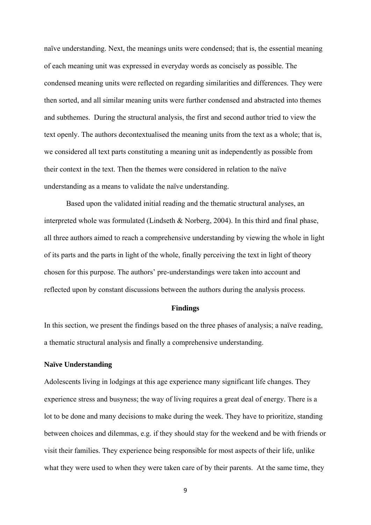naïve understanding. Next, the meanings units were condensed; that is, the essential meaning of each meaning unit was expressed in everyday words as concisely as possible. The condensed meaning units were reflected on regarding similarities and differences. They were then sorted, and all similar meaning units were further condensed and abstracted into themes and subthemes. During the structural analysis, the first and second author tried to view the text openly. The authors decontextualised the meaning units from the text as a whole; that is, we considered all text parts constituting a meaning unit as independently as possible from their context in the text. Then the themes were considered in relation to the naïve understanding as a means to validate the naïve understanding.

Based upon the validated initial reading and the thematic structural analyses, an interpreted whole was formulated (Lindseth & Norberg, 2004). In this third and final phase, all three authors aimed to reach a comprehensive understanding by viewing the whole in light of its parts and the parts in light of the whole, finally perceiving the text in light of theory chosen for this purpose. The authors' pre-understandings were taken into account and reflected upon by constant discussions between the authors during the analysis process.

#### **Findings**

In this section, we present the findings based on the three phases of analysis; a naïve reading, a thematic structural analysis and finally a comprehensive understanding.

## **Naïve Understanding**

Adolescents living in lodgings at this age experience many significant life changes. They experience stress and busyness; the way of living requires a great deal of energy. There is a lot to be done and many decisions to make during the week. They have to prioritize, standing between choices and dilemmas, e.g. if they should stay for the weekend and be with friends or visit their families. They experience being responsible for most aspects of their life, unlike what they were used to when they were taken care of by their parents. At the same time, they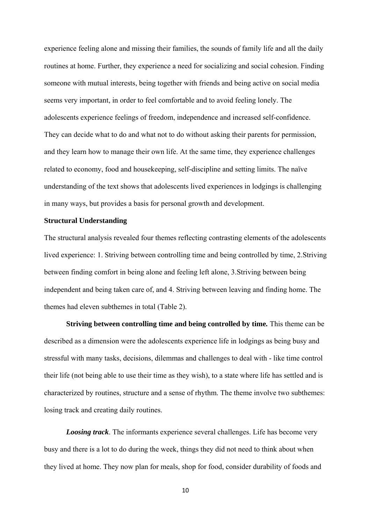experience feeling alone and missing their families, the sounds of family life and all the daily routines at home. Further, they experience a need for socializing and social cohesion. Finding someone with mutual interests, being together with friends and being active on social media seems very important, in order to feel comfortable and to avoid feeling lonely. The adolescents experience feelings of freedom, independence and increased self-confidence. They can decide what to do and what not to do without asking their parents for permission, and they learn how to manage their own life. At the same time, they experience challenges related to economy, food and housekeeping, self-discipline and setting limits. The naïve understanding of the text shows that adolescents lived experiences in lodgings is challenging in many ways, but provides a basis for personal growth and development.

#### **Structural Understanding**

The structural analysis revealed four themes reflecting contrasting elements of the adolescents lived experience: 1. Striving between controlling time and being controlled by time, 2.Striving between finding comfort in being alone and feeling left alone, 3.Striving between being independent and being taken care of, and 4. Striving between leaving and finding home. The themes had eleven subthemes in total (Table 2).

**Striving between controlling time and being controlled by time***.* This theme can be described as a dimension were the adolescents experience life in lodgings as being busy and stressful with many tasks, decisions, dilemmas and challenges to deal with - like time control their life (not being able to use their time as they wish), to a state where life has settled and is characterized by routines, structure and a sense of rhythm. The theme involve two subthemes: losing track and creating daily routines.

*Loosing track*. The informants experience several challenges. Life has become very busy and there is a lot to do during the week, things they did not need to think about when they lived at home. They now plan for meals, shop for food, consider durability of foods and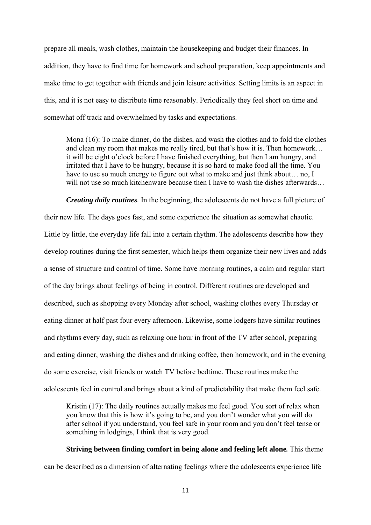prepare all meals, wash clothes, maintain the housekeeping and budget their finances. In addition, they have to find time for homework and school preparation, keep appointments and make time to get together with friends and join leisure activities. Setting limits is an aspect in this, and it is not easy to distribute time reasonably. Periodically they feel short on time and somewhat off track and overwhelmed by tasks and expectations.

Mona (16): To make dinner, do the dishes, and wash the clothes and to fold the clothes and clean my room that makes me really tired, but that's how it is. Then homework… it will be eight o'clock before I have finished everything, but then I am hungry, and irritated that I have to be hungry, because it is so hard to make food all the time. You have to use so much energy to figure out what to make and just think about... no, I will not use so much kitchenware because then I have to wash the dishes afterwards…

*Creating daily routines.* In the beginning, the adolescents do not have a full picture of their new life. The days goes fast, and some experience the situation as somewhat chaotic. Little by little, the everyday life fall into a certain rhythm. The adolescents describe how they develop routines during the first semester, which helps them organize their new lives and adds a sense of structure and control of time. Some have morning routines, a calm and regular start of the day brings about feelings of being in control. Different routines are developed and described, such as shopping every Monday after school, washing clothes every Thursday or eating dinner at half past four every afternoon. Likewise, some lodgers have similar routines and rhythms every day, such as relaxing one hour in front of the TV after school, preparing and eating dinner, washing the dishes and drinking coffee, then homework, and in the evening do some exercise, visit friends or watch TV before bedtime. These routines make the adolescents feel in control and brings about a kind of predictability that make them feel safe.

Kristin (17): The daily routines actually makes me feel good. You sort of relax when you know that this is how it's going to be, and you don't wonder what you will do after school if you understand, you feel safe in your room and you don't feel tense or something in lodgings, I think that is very good.

**Striving between finding comfort in being alone and feeling left alone***.* This theme can be described as a dimension of alternating feelings where the adolescents experience life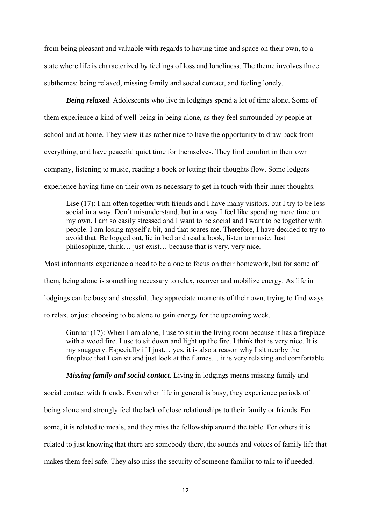from being pleasant and valuable with regards to having time and space on their own, to a state where life is characterized by feelings of loss and loneliness. The theme involves three subthemes: being relaxed, missing family and social contact, and feeling lonely.

*Being relaxed*. Adolescents who live in lodgings spend a lot of time alone. Some of them experience a kind of well-being in being alone, as they feel surrounded by people at school and at home. They view it as rather nice to have the opportunity to draw back from everything, and have peaceful quiet time for themselves. They find comfort in their own company, listening to music, reading a book or letting their thoughts flow. Some lodgers experience having time on their own as necessary to get in touch with their inner thoughts.

Lise (17): I am often together with friends and I have many visitors, but I try to be less social in a way. Don't misunderstand, but in a way I feel like spending more time on my own. I am so easily stressed and I want to be social and I want to be together with people. I am losing myself a bit, and that scares me. Therefore, I have decided to try to avoid that. Be logged out, lie in bed and read a book, listen to music. Just philosophize, think… just exist… because that is very, very nice.

Most informants experience a need to be alone to focus on their homework, but for some of them, being alone is something necessary to relax, recover and mobilize energy. As life in lodgings can be busy and stressful, they appreciate moments of their own, trying to find ways to relax, or just choosing to be alone to gain energy for the upcoming week.

Gunnar (17): When I am alone, I use to sit in the living room because it has a fireplace with a wood fire. I use to sit down and light up the fire. I think that is very nice. It is my snuggery. Especially if I just… yes, it is also a reason why I sit nearby the fireplace that I can sit and just look at the flames… it is very relaxing and comfortable

*Missing family and social contact*. Living in lodgings means missing family and

social contact with friends. Even when life in general is busy, they experience periods of being alone and strongly feel the lack of close relationships to their family or friends. For some, it is related to meals, and they miss the fellowship around the table. For others it is related to just knowing that there are somebody there, the sounds and voices of family life that makes them feel safe. They also miss the security of someone familiar to talk to if needed.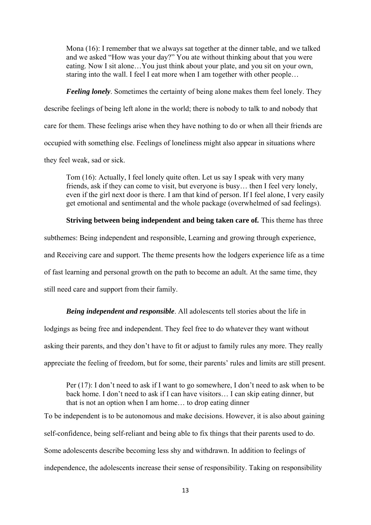Mona (16): I remember that we always sat together at the dinner table, and we talked and we asked "How was your day?" You ate without thinking about that you were eating. Now I sit alone…You just think about your plate, and you sit on your own, staring into the wall. I feel I eat more when I am together with other people…

*Feeling lonely*. Sometimes the certainty of being alone makes them feel lonely. They describe feelings of being left alone in the world; there is nobody to talk to and nobody that care for them. These feelings arise when they have nothing to do or when all their friends are occupied with something else. Feelings of loneliness might also appear in situations where they feel weak, sad or sick.

Tom (16): Actually, I feel lonely quite often. Let us say I speak with very many friends, ask if they can come to visit, but everyone is busy… then I feel very lonely, even if the girl next door is there. I am that kind of person. If I feel alone, I very easily get emotional and sentimental and the whole package (overwhelmed of sad feelings).

## **Striving between being independent and being taken care of***.* This theme has three

subthemes: Being independent and responsible, Learning and growing through experience, and Receiving care and support. The theme presents how the lodgers experience life as a time of fast learning and personal growth on the path to become an adult. At the same time, they still need care and support from their family.

*Being independent and responsible*. All adolescents tell stories about the life in lodgings as being free and independent. They feel free to do whatever they want without asking their parents, and they don't have to fit or adjust to family rules any more. They really appreciate the feeling of freedom, but for some, their parents' rules and limits are still present.

Per (17): I don't need to ask if I want to go somewhere, I don't need to ask when to be back home. I don't need to ask if I can have visitors… I can skip eating dinner, but that is not an option when I am home… to drop eating dinner

To be independent is to be autonomous and make decisions. However, it is also about gaining self-confidence, being self-reliant and being able to fix things that their parents used to do. Some adolescents describe becoming less shy and withdrawn. In addition to feelings of independence, the adolescents increase their sense of responsibility. Taking on responsibility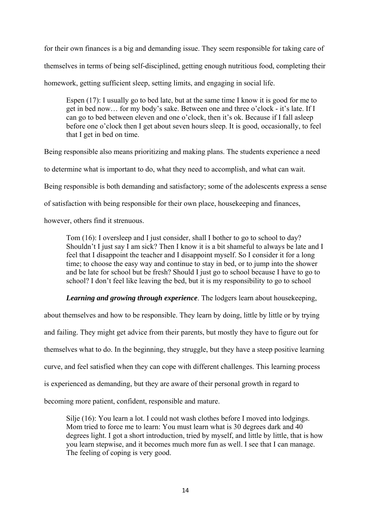for their own finances is a big and demanding issue. They seem responsible for taking care of themselves in terms of being self-disciplined, getting enough nutritious food, completing their homework, getting sufficient sleep, setting limits, and engaging in social life.

Espen (17): I usually go to bed late, but at the same time I know it is good for me to get in bed now… for my body's sake. Between one and three o'clock - it's late. If I can go to bed between eleven and one o'clock, then it's ok. Because if I fall asleep before one o'clock then I get about seven hours sleep. It is good, occasionally, to feel that I get in bed on time.

Being responsible also means prioritizing and making plans. The students experience a need

to determine what is important to do, what they need to accomplish, and what can wait.

Being responsible is both demanding and satisfactory; some of the adolescents express a sense

of satisfaction with being responsible for their own place, housekeeping and finances,

however, others find it strenuous.

Tom (16): I oversleep and I just consider, shall I bother to go to school to day? Shouldn't I just say I am sick? Then I know it is a bit shameful to always be late and I feel that I disappoint the teacher and I disappoint myself. So I consider it for a long time; to choose the easy way and continue to stay in bed, or to jump into the shower and be late for school but be fresh? Should I just go to school because I have to go to school? I don't feel like leaving the bed, but it is my responsibility to go to school

*Learning and growing through experience*. The lodgers learn about housekeeping,

about themselves and how to be responsible. They learn by doing, little by little or by trying and failing. They might get advice from their parents, but mostly they have to figure out for themselves what to do. In the beginning, they struggle, but they have a steep positive learning curve, and feel satisfied when they can cope with different challenges. This learning process is experienced as demanding, but they are aware of their personal growth in regard to becoming more patient, confident, responsible and mature.

Silje (16): You learn a lot. I could not wash clothes before I moved into lodgings. Mom tried to force me to learn: You must learn what is 30 degrees dark and 40 degrees light. I got a short introduction, tried by myself, and little by little, that is how you learn stepwise, and it becomes much more fun as well. I see that I can manage. The feeling of coping is very good.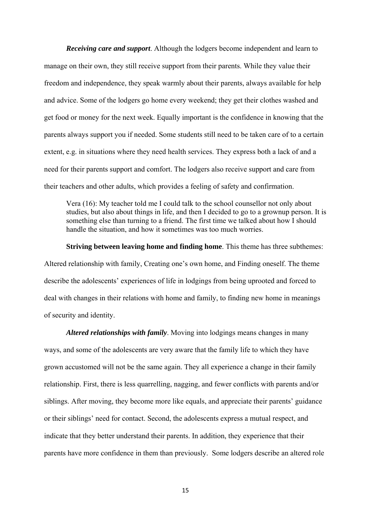*Receiving care and support*. Although the lodgers become independent and learn to manage on their own, they still receive support from their parents. While they value their freedom and independence, they speak warmly about their parents, always available for help and advice. Some of the lodgers go home every weekend; they get their clothes washed and get food or money for the next week. Equally important is the confidence in knowing that the parents always support you if needed. Some students still need to be taken care of to a certain extent, e.g. in situations where they need health services. They express both a lack of and a need for their parents support and comfort. The lodgers also receive support and care from their teachers and other adults, which provides a feeling of safety and confirmation.

Vera (16): My teacher told me I could talk to the school counsellor not only about studies, but also about things in life, and then I decided to go to a grownup person. It is something else than turning to a friend. The first time we talked about how I should handle the situation, and how it sometimes was too much worries.

**Striving between leaving home and finding home**. This theme has three subthemes: Altered relationship with family, Creating one's own home, and Finding oneself. The theme describe the adolescents' experiences of life in lodgings from being uprooted and forced to deal with changes in their relations with home and family, to finding new home in meanings of security and identity.

*Altered relationships with family*. Moving into lodgings means changes in many ways, and some of the adolescents are very aware that the family life to which they have grown accustomed will not be the same again. They all experience a change in their family relationship. First, there is less quarrelling, nagging, and fewer conflicts with parents and/or siblings. After moving, they become more like equals, and appreciate their parents' guidance or their siblings' need for contact. Second, the adolescents express a mutual respect, and indicate that they better understand their parents. In addition, they experience that their parents have more confidence in them than previously. Some lodgers describe an altered role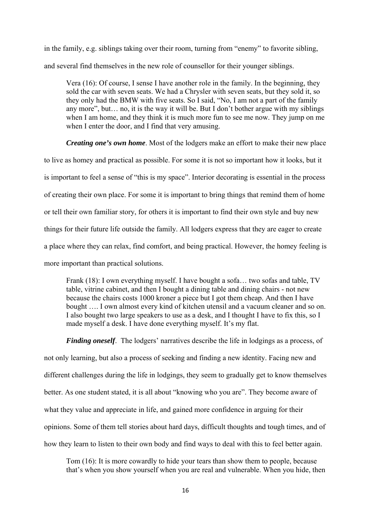in the family, e.g. siblings taking over their room, turning from "enemy" to favorite sibling, and several find themselves in the new role of counsellor for their younger siblings.

Vera (16): Of course, I sense I have another role in the family. In the beginning, they sold the car with seven seats. We had a Chrysler with seven seats, but they sold it, so they only had the BMW with five seats. So I said, "No, I am not a part of the family any more", but… no, it is the way it will be. But I don't bother argue with my siblings when I am home, and they think it is much more fun to see me now. They jump on me when I enter the door, and I find that very amusing.

*Creating one's own home*. Most of the lodgers make an effort to make their new place

to live as homey and practical as possible. For some it is not so important how it looks, but it is important to feel a sense of "this is my space". Interior decorating is essential in the process of creating their own place. For some it is important to bring things that remind them of home or tell their own familiar story, for others it is important to find their own style and buy new things for their future life outside the family. All lodgers express that they are eager to create a place where they can relax, find comfort, and being practical. However, the homey feeling is more important than practical solutions.

Frank (18): I own everything myself. I have bought a sofa... two sofas and table, TV table, vitrine cabinet, and then I bought a dining table and dining chairs - not new because the chairs costs 1000 kroner a piece but I got them cheap. And then I have bought …. I own almost every kind of kitchen utensil and a vacuum cleaner and so on. I also bought two large speakers to use as a desk, and I thought I have to fix this, so I made myself a desk. I have done everything myself. It's my flat.

*Finding oneself*. The lodgers' narratives describe the life in lodgings as a process, of not only learning, but also a process of seeking and finding a new identity. Facing new and different challenges during the life in lodgings, they seem to gradually get to know themselves better. As one student stated, it is all about "knowing who you are". They become aware of what they value and appreciate in life, and gained more confidence in arguing for their opinions. Some of them tell stories about hard days, difficult thoughts and tough times, and of how they learn to listen to their own body and find ways to deal with this to feel better again.

Tom (16): It is more cowardly to hide your tears than show them to people, because that's when you show yourself when you are real and vulnerable. When you hide, then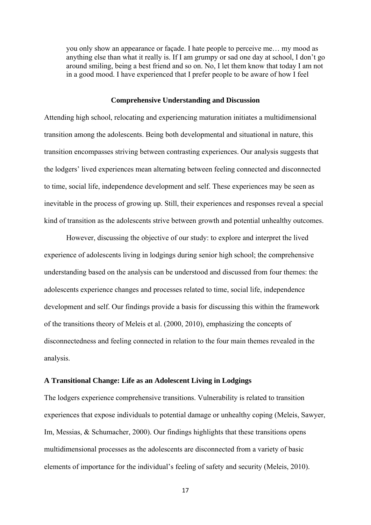you only show an appearance or façade. I hate people to perceive me… my mood as anything else than what it really is. If I am grumpy or sad one day at school, I don't go around smiling, being a best friend and so on. No, I let them know that today I am not in a good mood. I have experienced that I prefer people to be aware of how I feel

#### **Comprehensive Understanding and Discussion**

Attending high school, relocating and experiencing maturation initiates a multidimensional transition among the adolescents. Being both developmental and situational in nature, this transition encompasses striving between contrasting experiences. Our analysis suggests that the lodgers' lived experiences mean alternating between feeling connected and disconnected to time, social life, independence development and self. These experiences may be seen as inevitable in the process of growing up. Still, their experiences and responses reveal a special kind of transition as the adolescents strive between growth and potential unhealthy outcomes.

However, discussing the objective of our study: to explore and interpret the lived experience of adolescents living in lodgings during senior high school; the comprehensive understanding based on the analysis can be understood and discussed from four themes: the adolescents experience changes and processes related to time, social life, independence development and self. Our findings provide a basis for discussing this within the framework of the transitions theory of Meleis et al. (2000, 2010), emphasizing the concepts of disconnectedness and feeling connected in relation to the four main themes revealed in the analysis.

#### **A Transitional Change: Life as an Adolescent Living in Lodgings**

The lodgers experience comprehensive transitions. Vulnerability is related to transition experiences that expose individuals to potential damage or unhealthy coping (Meleis, Sawyer, Im, Messias, & Schumacher, 2000). Our findings highlights that these transitions opens multidimensional processes as the adolescents are disconnected from a variety of basic elements of importance for the individual's feeling of safety and security (Meleis, 2010).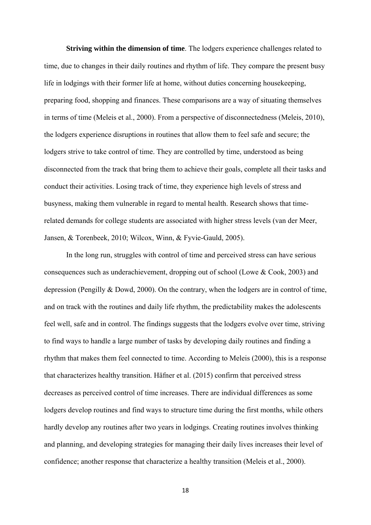**Striving within the dimension of time**. The lodgers experience challenges related to time, due to changes in their daily routines and rhythm of life. They compare the present busy life in lodgings with their former life at home, without duties concerning housekeeping, preparing food, shopping and finances. These comparisons are a way of situating themselves in terms of time (Meleis et al., 2000). From a perspective of disconnectedness (Meleis, 2010), the lodgers experience disruptions in routines that allow them to feel safe and secure; the lodgers strive to take control of time. They are controlled by time, understood as being disconnected from the track that bring them to achieve their goals, complete all their tasks and conduct their activities. Losing track of time, they experience high levels of stress and busyness, making them vulnerable in regard to mental health. Research shows that timerelated demands for college students are associated with higher stress levels (van der Meer, Jansen, & Torenbeek, 2010; Wilcox, Winn, & Fyvie-Gauld, 2005).

In the long run, struggles with control of time and perceived stress can have serious consequences such as underachievement, dropping out of school (Lowe & Cook, 2003) and depression (Pengilly & Dowd, 2000). On the contrary, when the lodgers are in control of time, and on track with the routines and daily life rhythm, the predictability makes the adolescents feel well, safe and in control. The findings suggests that the lodgers evolve over time, striving to find ways to handle a large number of tasks by developing daily routines and finding a rhythm that makes them feel connected to time. According to Meleis (2000), this is a response that characterizes healthy transition. Häfner et al. (2015) confirm that perceived stress decreases as perceived control of time increases. There are individual differences as some lodgers develop routines and find ways to structure time during the first months, while others hardly develop any routines after two years in lodgings. Creating routines involves thinking and planning, and developing strategies for managing their daily lives increases their level of confidence; another response that characterize a healthy transition (Meleis et al., 2000).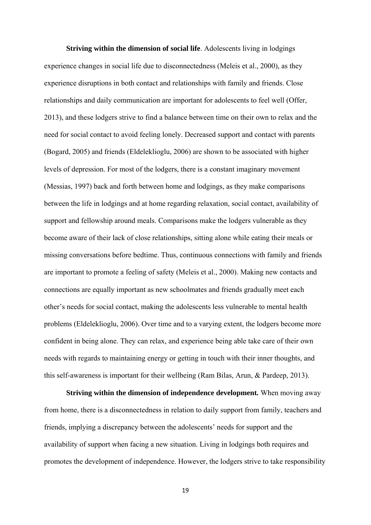**Striving within the dimension of social life**. Adolescents living in lodgings experience changes in social life due to disconnectedness (Meleis et al., 2000), as they experience disruptions in both contact and relationships with family and friends. Close relationships and daily communication are important for adolescents to feel well (Offer, 2013), and these lodgers strive to find a balance between time on their own to relax and the need for social contact to avoid feeling lonely. Decreased support and contact with parents (Bogard, 2005) and friends (Eldeleklioglu, 2006) are shown to be associated with higher levels of depression. For most of the lodgers, there is a constant imaginary movement (Messias, 1997) back and forth between home and lodgings, as they make comparisons between the life in lodgings and at home regarding relaxation, social contact, availability of support and fellowship around meals. Comparisons make the lodgers vulnerable as they become aware of their lack of close relationships, sitting alone while eating their meals or missing conversations before bedtime. Thus, continuous connections with family and friends are important to promote a feeling of safety (Meleis et al., 2000). Making new contacts and connections are equally important as new schoolmates and friends gradually meet each other's needs for social contact, making the adolescents less vulnerable to mental health problems (Eldeleklioglu, 2006). Over time and to a varying extent, the lodgers become more confident in being alone. They can relax, and experience being able take care of their own needs with regards to maintaining energy or getting in touch with their inner thoughts, and this self-awareness is important for their wellbeing (Ram Bilas, Arun, & Pardeep, 2013).

**Striving within the dimension of independence development***.* When moving away from home, there is a disconnectedness in relation to daily support from family, teachers and friends, implying a discrepancy between the adolescents' needs for support and the availability of support when facing a new situation. Living in lodgings both requires and promotes the development of independence. However, the lodgers strive to take responsibility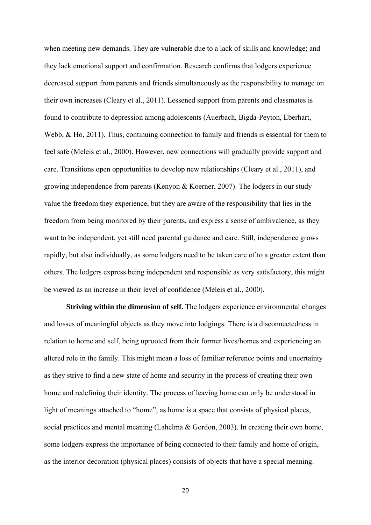when meeting new demands. They are vulnerable due to a lack of skills and knowledge; and they lack emotional support and confirmation. Research confirms that lodgers experience decreased support from parents and friends simultaneously as the responsibility to manage on their own increases (Cleary et al., 2011). Lessened support from parents and classmates is found to contribute to depression among adolescents (Auerbach, Bigda-Peyton, Eberhart, Webb, & Ho, 2011). Thus, continuing connection to family and friends is essential for them to feel safe (Meleis et al., 2000). However, new connections will gradually provide support and care. Transitions open opportunities to develop new relationships (Cleary et al., 2011), and growing independence from parents (Kenyon & Koerner, 2007). The lodgers in our study value the freedom they experience, but they are aware of the responsibility that lies in the freedom from being monitored by their parents, and express a sense of ambivalence, as they want to be independent, yet still need parental guidance and care. Still, independence grows rapidly, but also individually, as some lodgers need to be taken care of to a greater extent than others. The lodgers express being independent and responsible as very satisfactory, this might be viewed as an increase in their level of confidence (Meleis et al., 2000).

**Striving within the dimension of self.** The lodgers experience environmental changes and losses of meaningful objects as they move into lodgings. There is a disconnectedness in relation to home and self, being uprooted from their former lives/homes and experiencing an altered role in the family. This might mean a loss of familiar reference points and uncertainty as they strive to find a new state of home and security in the process of creating their own home and redefining their identity. The process of leaving home can only be understood in light of meanings attached to "home", as home is a space that consists of physical places, social practices and mental meaning (Lahelma & Gordon, 2003). In creating their own home, some lodgers express the importance of being connected to their family and home of origin, as the interior decoration (physical places) consists of objects that have a special meaning.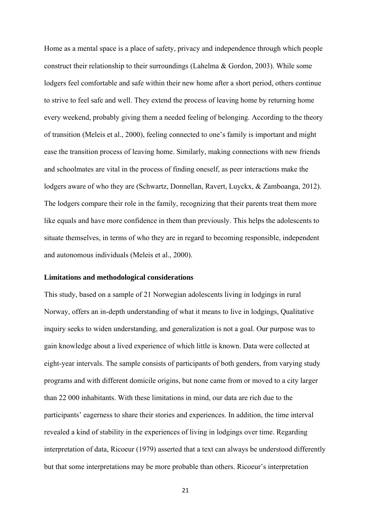Home as a mental space is a place of safety, privacy and independence through which people construct their relationship to their surroundings (Lahelma & Gordon, 2003). While some lodgers feel comfortable and safe within their new home after a short period, others continue to strive to feel safe and well. They extend the process of leaving home by returning home every weekend, probably giving them a needed feeling of belonging. According to the theory of transition (Meleis et al., 2000), feeling connected to one's family is important and might ease the transition process of leaving home. Similarly, making connections with new friends and schoolmates are vital in the process of finding oneself, as peer interactions make the lodgers aware of who they are (Schwartz, Donnellan, Ravert, Luyckx, & Zamboanga, 2012). The lodgers compare their role in the family, recognizing that their parents treat them more like equals and have more confidence in them than previously. This helps the adolescents to situate themselves, in terms of who they are in regard to becoming responsible, independent and autonomous individuals (Meleis et al., 2000).

## **Limitations and methodological considerations**

This study, based on a sample of 21 Norwegian adolescents living in lodgings in rural Norway, offers an in-depth understanding of what it means to live in lodgings, Qualitative inquiry seeks to widen understanding, and generalization is not a goal. Our purpose was to gain knowledge about a lived experience of which little is known. Data were collected at eight-year intervals. The sample consists of participants of both genders, from varying study programs and with different domicile origins, but none came from or moved to a city larger than 22 000 inhabitants. With these limitations in mind, our data are rich due to the participants' eagerness to share their stories and experiences. In addition, the time interval revealed a kind of stability in the experiences of living in lodgings over time. Regarding interpretation of data, Ricoeur (1979) asserted that a text can always be understood differently but that some interpretations may be more probable than others. Ricoeur's interpretation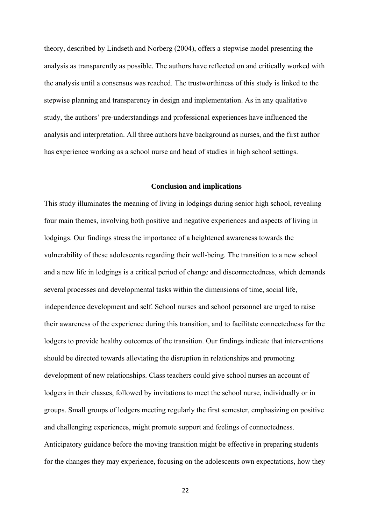theory, described by Lindseth and Norberg (2004), offers a stepwise model presenting the analysis as transparently as possible. The authors have reflected on and critically worked with the analysis until a consensus was reached. The trustworthiness of this study is linked to the stepwise planning and transparency in design and implementation. As in any qualitative study, the authors' pre-understandings and professional experiences have influenced the analysis and interpretation. All three authors have background as nurses, and the first author has experience working as a school nurse and head of studies in high school settings.

## **Conclusion and implications**

This study illuminates the meaning of living in lodgings during senior high school, revealing four main themes, involving both positive and negative experiences and aspects of living in lodgings. Our findings stress the importance of a heightened awareness towards the vulnerability of these adolescents regarding their well-being. The transition to a new school and a new life in lodgings is a critical period of change and disconnectedness, which demands several processes and developmental tasks within the dimensions of time, social life, independence development and self. School nurses and school personnel are urged to raise their awareness of the experience during this transition, and to facilitate connectedness for the lodgers to provide healthy outcomes of the transition. Our findings indicate that interventions should be directed towards alleviating the disruption in relationships and promoting development of new relationships. Class teachers could give school nurses an account of lodgers in their classes, followed by invitations to meet the school nurse, individually or in groups. Small groups of lodgers meeting regularly the first semester, emphasizing on positive and challenging experiences, might promote support and feelings of connectedness. Anticipatory guidance before the moving transition might be effective in preparing students for the changes they may experience, focusing on the adolescents own expectations, how they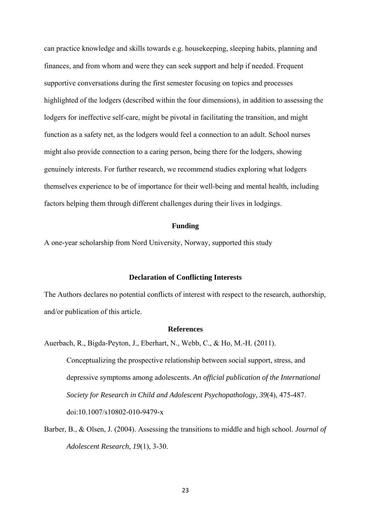can practice knowledge and skills towards e.g. housekeeping, sleeping habits, planning and finances, and from whom and were they can seek support and help if needed. Frequent supportive conversations during the first semester focusing on topics and processes highlighted of the lodgers (described within the four dimensions), in addition to assessing the lodgers for ineffective self-care, might be pivotal in facilitating the transition, and might function as a safety net, as the lodgers would feel a connection to an adult. School nurses might also provide connection to a caring person, being there for the lodgers, showing genuinely interests. For further research, we recommend studies exploring what lodgers themselves experience to be of importance for their well-being and mental health, including factors helping them through different challenges during their lives in lodgings.

#### **Funding**

A one-year scholarship from Nord University, Norway, supported this study

## **Declaration of Conflicting Interests**

The Authors declares no potential conflicts of interest with respect to the research, authorship, and/or publication of this article.

#### **References**

Auerbach, R., Bigda-Peyton, J., Eberhart, N., Webb, C., & Ho, M.-H. (2011). Conceptualizing the prospective relationship between social support, stress, and depressive symptoms among adolescents. *An official publication of the International Society for Research in Child and Adolescent Psychopathology, 39*(4), 475-487. doi:10.1007/s10802-010-9479-x

Barber, B., & Olsen, J. (2004). Assessing the transitions to middle and high school. *Journal of Adolescent Research, 19*(1), 3-30.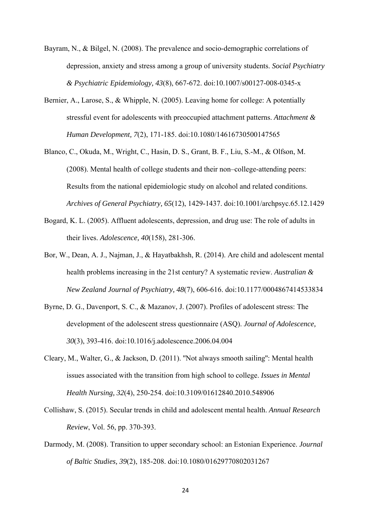- Bayram, N., & Bilgel, N. (2008). The prevalence and socio-demographic correlations of depression, anxiety and stress among a group of university students. *Social Psychiatry & Psychiatric Epidemiology, 43*(8), 667-672. doi:10.1007/s00127-008-0345-x
- Bernier, A., Larose, S., & Whipple, N. (2005). Leaving home for college: A potentially stressful event for adolescents with preoccupied attachment patterns. *Attachment & Human Development, 7*(2), 171-185. doi:10.1080/14616730500147565
- Blanco, C., Okuda, M., Wright, C., Hasin, D. S., Grant, B. F., Liu, S.-M., & Olfson, M. (2008). Mental health of college students and their non–college-attending peers: Results from the national epidemiologic study on alcohol and related conditions. *Archives of General Psychiatry, 65*(12), 1429-1437. doi:10.1001/archpsyc.65.12.1429
- Bogard, K. L. (2005). Affluent adolescents, depression, and drug use: The role of adults in their lives. *Adolescence, 40*(158), 281-306.
- Bor, W., Dean, A. J., Najman, J., & Hayatbakhsh, R. (2014). Are child and adolescent mental health problems increasing in the 21st century? A systematic review. *Australian & New Zealand Journal of Psychiatry, 48*(7), 606-616. doi:10.1177/0004867414533834
- Byrne, D. G., Davenport, S. C., & Mazanov, J. (2007). Profiles of adolescent stress: The development of the adolescent stress questionnaire (ASQ). *Journal of Adolescence, 30*(3), 393-416. doi:10.1016/j.adolescence.2006.04.004
- Cleary, M., Walter, G., & Jackson, D. (2011). ''Not always smooth sailing'': Mental health issues associated with the transition from high school to college. *Issues in Mental Health Nursing, 32*(4), 250-254. doi:10.3109/01612840.2010.548906
- Collishaw, S. (2015). Secular trends in child and adolescent mental health. *Annual Research Review*, Vol. 56, pp. 370-393.
- Darmody, M. (2008). Transition to upper secondary school: an Estonian Experience. *Journal of Baltic Studies, 39*(2), 185-208. doi:10.1080/01629770802031267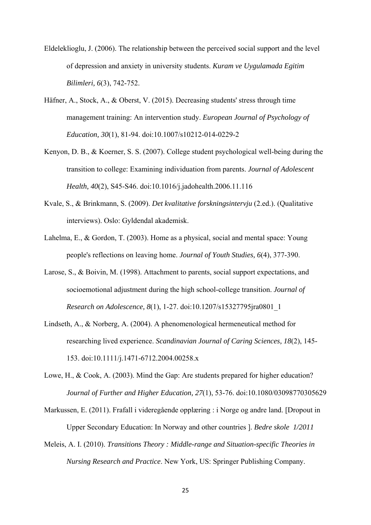- Eldeleklioglu, J. (2006). The relationship between the perceived social support and the level of depression and anxiety in university students. *Kuram ve Uygulamada Egitim Bilimleri, 6*(3), 742-752.
- Häfner, A., Stock, A., & Oberst, V. (2015). Decreasing students' stress through time management training: An intervention study. *European Journal of Psychology of Education, 30*(1), 81-94. doi:10.1007/s10212-014-0229-2
- Kenyon, D. B., & Koerner, S. S. (2007). College student psychological well-being during the transition to college: Examining individuation from parents. *Journal of Adolescent Health, 40*(2), S45-S46. doi:10.1016/j.jadohealth.2006.11.116
- Kvale, S., & Brinkmann, S. (2009). *Det kvalitative forskningsintervju* (2.ed.). (Qualitative interviews). Oslo: Gyldendal akademisk.
- Lahelma, E., & Gordon, T. (2003). Home as a physical, social and mental space: Young people's reflections on leaving home. *Journal of Youth Studies, 6*(4), 377-390.
- Larose, S., & Boivin, M. (1998). Attachment to parents, social support expectations, and socioemotional adjustment during the high school-college transition. *Journal of Research on Adolescence, 8*(1), 1-27. doi:10.1207/s15327795jra0801\_1
- Lindseth, A., & Norberg, A. (2004). A phenomenological hermeneutical method for researching lived experience. *Scandinavian Journal of Caring Sciences, 18*(2), 145- 153. doi:10.1111/j.1471-6712.2004.00258.x
- Lowe, H., & Cook, A. (2003). Mind the Gap: Are students prepared for higher education? *Journal of Further and Higher Education, 27*(1), 53-76. doi:10.1080/03098770305629
- Markussen, E. (2011). Frafall i videregående opplæring : i Norge og andre land. [Dropout in Upper Secondary Education: In Norway and other countries ]. *Bedre skole 1/2011*
- Meleis, A. I. (2010). *Transitions Theory : Middle-range and Situation-specific Theories in Nursing Research and Practice*. New York, US: Springer Publishing Company.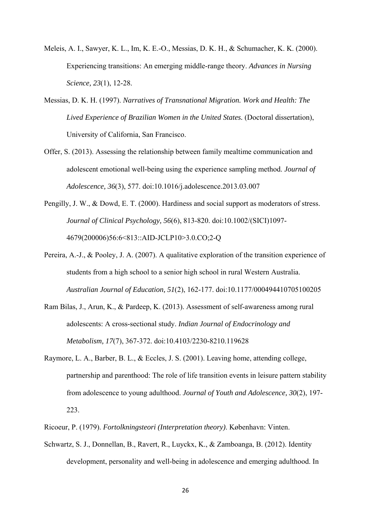- Meleis, A. I., Sawyer, K. L., Im, K. E.-O., Messias, D. K. H., & Schumacher, K. K. (2000). Experiencing transitions: An emerging middle-range theory. *Advances in Nursing Science, 23*(1), 12-28.
- Messias, D. K. H. (1997). *Narratives of Transnational Migration. Work and Health: The Lived Experience of Brazilian Women in the United States.* (Doctoral dissertation), University of California, San Francisco.
- Offer, S. (2013). Assessing the relationship between family mealtime communication and adolescent emotional well-being using the experience sampling method. *Journal of Adolescence, 36*(3), 577. doi:10.1016/j.adolescence.2013.03.007
- Pengilly, J. W., & Dowd, E. T. (2000). Hardiness and social support as moderators of stress. *Journal of Clinical Psychology, 56*(6), 813-820. doi:10.1002/(SICI)1097- 4679(200006)56:6<813::AID-JCLP10>3.0.CO;2-Q
- Pereira, A.-J., & Pooley, J. A. (2007). A qualitative exploration of the transition experience of students from a high school to a senior high school in rural Western Australia. *Australian Journal of Education, 51*(2), 162-177. doi:10.1177/000494410705100205
- Ram Bilas, J., Arun, K., & Pardeep, K. (2013). Assessment of self-awareness among rural adolescents: A cross-sectional study. *Indian Journal of Endocrinology and Metabolism, 17*(7), 367-372. doi:10.4103/2230-8210.119628
- Raymore, L. A., Barber, B. L., & Eccles, J. S. (2001). Leaving home, attending college, partnership and parenthood: The role of life transition events in leisure pattern stability from adolescence to young adulthood. *Journal of Youth and Adolescence, 30*(2), 197- 223.
- Ricoeur, P. (1979). *Fortolkningsteori (Interpretation theory)*. København: Vinten.
- Schwartz, S. J., Donnellan, B., Ravert, R., Luyckx, K., & Zamboanga, B. (2012). Identity development, personality and well-being in adolescence and emerging adulthood. In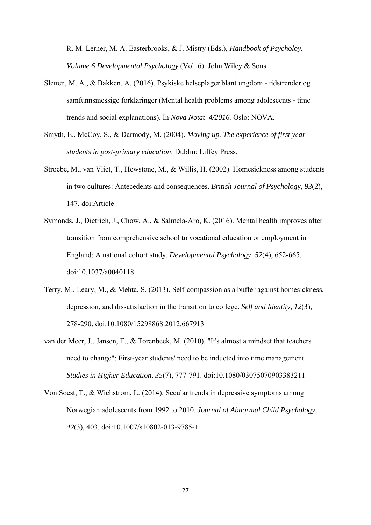R. M. Lerner, M. A. Easterbrooks, & J. Mistry (Eds.), *Handbook of Psycholoy. Volume 6 Developmental Psychology* (Vol. 6): John Wiley & Sons.

- Sletten, M. A., & Bakken, A. (2016). Psykiske helseplager blant ungdom tidstrender og samfunnsmessige forklaringer (Mental health problems among adolescents - time trends and social explanations). In *Nova Notat 4/2016.* Oslo: NOVA.
- Smyth, E., McCoy, S., & Darmody, M. (2004). *Moving up. The experience of first year students in post-primary education*. Dublin: Liffey Press.
- Stroebe, M., van Vliet, T., Hewstone, M., & Willis, H. (2002). Homesickness among students in two cultures: Antecedents and consequences. *British Journal of Psychology, 93*(2), 147. doi:Article
- Symonds, J., Dietrich, J., Chow, A., & Salmela-Aro, K. (2016). Mental health improves after transition from comprehensive school to vocational education or employment in England: A national cohort study. *Developmental Psychology, 52*(4), 652-665. doi:10.1037/a0040118
- Terry, M., Leary, M., & Mehta, S. (2013). Self-compassion as a buffer against homesickness, depression, and dissatisfaction in the transition to college. *Self and Identity, 12*(3), 278-290. doi:10.1080/15298868.2012.667913
- van der Meer, J., Jansen, E., & Torenbeek, M. (2010). "It's almost a mindset that teachers need to change": First-year students' need to be inducted into time management. *Studies in Higher Education, 35*(7), 777-791. doi:10.1080/03075070903383211
- Von Soest, T., & Wichstrøm, L. (2014). Secular trends in depressive symptoms among Norwegian adolescents from 1992 to 2010. *Journal of Abnormal Child Psychology, 42*(3), 403. doi:10.1007/s10802-013-9785-1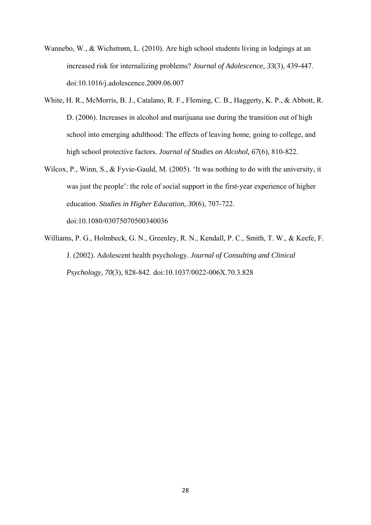- Wannebo, W., & Wichstrøm, L. (2010). Are high school students living in lodgings at an increased risk for internalizing problems? *Journal of Adolescence, 33*(3), 439-447. doi:10.1016/j.adolescence.2009.06.007
- White, H. R., McMorris, B. J., Catalano, R. F., Fleming, C. B., Haggerty, K. P., & Abbott, R. D. (2006). Increases in alcohol and marijuana use during the transition out of high school into emerging adulthood: The effects of leaving home, going to college, and high school protective factors. *Journal of Studies on Alcohol, 67*(6), 810-822.
- Wilcox, P., Winn, S., & Fyvie-Gauld, M. (2005). 'It was nothing to do with the university, it was just the people': the role of social support in the first-year experience of higher education. *Studies in Higher Education, 30*(6), 707-722. doi:10.1080/03075070500340036
- Williams, P. G., Holmbeck, G. N., Greenley, R. N., Kendall, P. C., Smith, T. W., & Keefe, F. J. (2002). Adolescent health psychology. *Journal of Consulting and Clinical Psychology, 70*(3), 828-842. doi:10.1037/0022-006X.70.3.828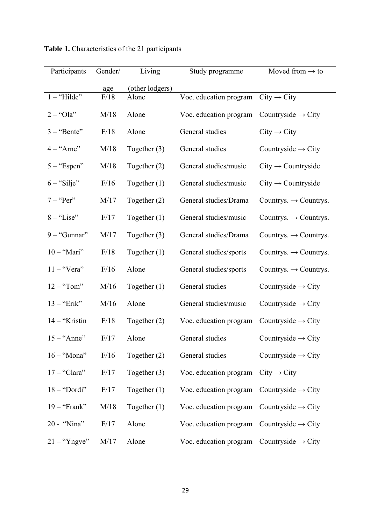| Participants   | Gender/ | Living          | Study programme        | Moved from $\rightarrow$ to       |
|----------------|---------|-----------------|------------------------|-----------------------------------|
|                | age     | (other lodgers) |                        |                                   |
| $1 -$ "Hilde"  | F/18    | Alone           | Voc. education program | $City \rightarrow City$           |
| $2 -$ "Ola"    | M/18    | Alone           | Voc. education program | Countryside $\rightarrow$ City    |
| $3 -$ "Bente"  | F/18    | Alone           | General studies        | $City \rightarrow City$           |
| $4 -$ "Arne"   | M/18    | Together $(3)$  | General studies        | Countryside $\rightarrow$ City    |
| $5 -$ "Espen"  | M/18    | Together $(2)$  | General studies/music  | $City \rightarrow$ Countryside    |
| $6 -$ "Silje"  | F/16    | Together $(1)$  | General studies/music  | $City \rightarrow Countryside$    |
| $7 -$ "Per"    | M/17    | Together $(2)$  | General studies/Drama  | Countrys. $\rightarrow$ Countrys. |
| $8 -$ "Lise"   | F/17    | Together $(1)$  | General studies/music  | Countrys. $\rightarrow$ Countrys. |
| $9 -$ "Gunnar" | M/17    | Together $(3)$  | General studies/Drama  | Countrys. $\rightarrow$ Countrys. |
| $10 -$ "Mari"  | F/18    | Together $(1)$  | General studies/sports | Countrys. $\rightarrow$ Countrys. |
| $11 -$ "Vera"  | F/16    | Alone           | General studies/sports | Countrys. $\rightarrow$ Countrys. |
| $12 -$ "Tom"   | M/16    | Together $(1)$  | General studies        | Countryside $\rightarrow$ City    |
| $13 -$ "Erik"  | M/16    | Alone           | General studies/music  | Countryside $\rightarrow$ City    |
| 14 - "Kristin  | F/18    | Together $(2)$  | Voc. education program | Countryside $\rightarrow$ City    |
| $15 -$ "Anne"  | F/17    | Alone           | General studies        | Countryside $\rightarrow$ City    |
| $16 -$ "Mona"  | F/16    | Together $(2)$  | General studies        | Countryside $\rightarrow$ City    |
| $17 -$ "Clara" | F/17    | Together $(3)$  | Voc. education program | $City \rightarrow City$           |
| $18 - "Dordi"$ | F/17    | Together $(1)$  | Voc. education program | Countryside $\rightarrow$ City    |
| $19 -$ "Frank" | M/18    | Together $(1)$  | Voc. education program | Countryside $\rightarrow$ City    |
| 20 - "Nina"    | F/17    | Alone           | Voc. education program | Countryside $\rightarrow$ City    |
| $21 -$ "Yngve" | M/17    | Alone           | Voc. education program | Countryside $\rightarrow$ City    |

**Table 1.** Characteristics of the 21 participants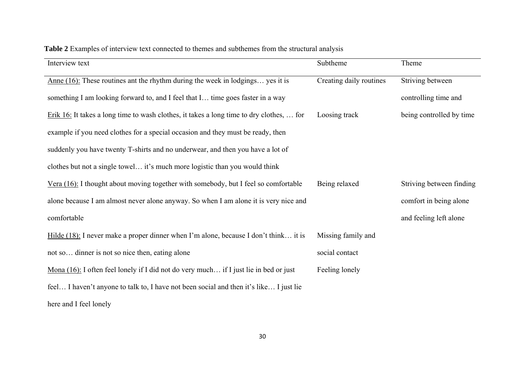| Interview text                                                                                | Subtheme                | Theme                    |
|-----------------------------------------------------------------------------------------------|-------------------------|--------------------------|
| Anne $(16)$ : These routines ant the rhythm during the week in lodgings yes it is             | Creating daily routines | Striving between         |
| something I am looking forward to, and I feel that I time goes faster in a way                |                         | controlling time and     |
| Erik 16: It takes a long time to wash clothes, it takes a long time to dry clothes,  for      | Loosing track           | being controlled by time |
| example if you need clothes for a special occasion and they must be ready, then               |                         |                          |
| suddenly you have twenty T-shirts and no underwear, and then you have a lot of                |                         |                          |
| clothes but not a single towel it's much more logistic than you would think                   |                         |                          |
| Vera $(16)$ : I thought about moving together with somebody, but I feel so comfortable        | Being relaxed           | Striving between finding |
| alone because I am almost never alone anyway. So when I am alone it is very nice and          |                         | comfort in being alone   |
| comfortable                                                                                   |                         | and feeling left alone   |
| Hilde $(18)$ : I never make a proper dinner when I'm alone, because I don't think it is       | Missing family and      |                          |
| not so dinner is not so nice then, eating alone                                               | social contact          |                          |
| <u>Mona (16)</u> : I often feel lonely if I did not do very much if I just lie in bed or just | Feeling lonely          |                          |
| feel I haven't anyone to talk to, I have not been social and then it's like I just lie        |                         |                          |
| here and I feel lonely                                                                        |                         |                          |

# **Table 2** Examples of interview text connected to themes and subthemes from the structural analysis